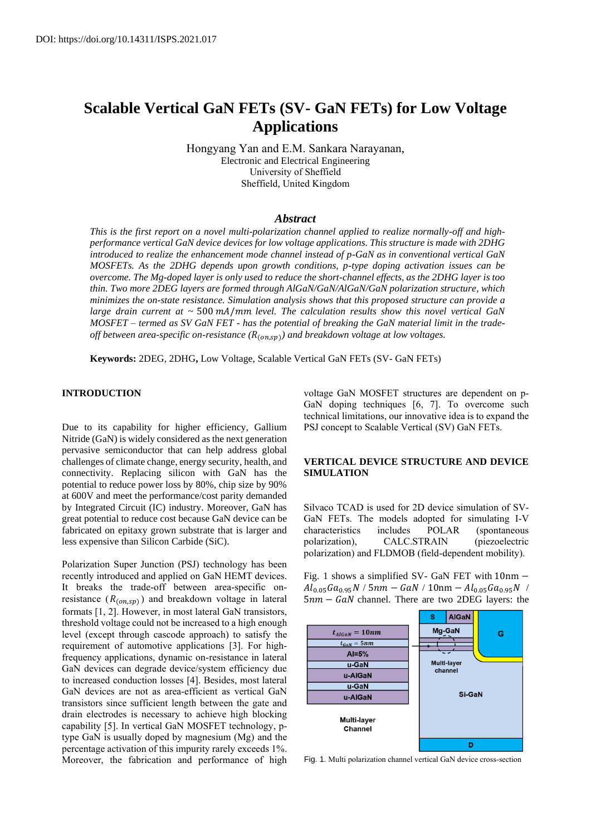# **Scalable Vertical GaN FETs (SV- GaN FETs) for Low Voltage Applications**

Hongyang Yan and E.M. Sankara Narayanan, Electronic and Electrical Engineering University of Sheffield Sheffield, United Kingdom

### *Abstract*

*This is the first report on a novel multi-polarization channel applied to realize normally-off and highperformance vertical GaN device devices for low voltage applications. This structure is made with 2DHG introduced to realize the enhancement mode channel instead of p-GaN as in conventional vertical GaN MOSFETs. As the 2DHG depends upon growth conditions, p-type doping activation issues can be overcome. The Mg-doped layer is only used to reduce the short-channel effects, as the 2DHG layer is too thin. Two more 2DEG layers are formed through AlGaN/GaN/AlGaN/GaN polarization structure, which minimizes the on-state resistance. Simulation analysis shows that this proposed structure can provide a large drain current at ~* 500 mA/mm level. The calculation results show this novel vertical GaN *MOSFET – termed as SV GaN FET - has the potential of breaking the GaN material limit in the trade*off between area-specific on-resistance (R<sub>(on,sp)</sub>) and breakdown voltage at low voltages.

**Keywords:** 2DEG, 2DHG**,** Low Voltage, Scalable Vertical GaN FETs (SV- GaN FETs)

## **INTRODUCTION**

Due to its capability for higher efficiency, Gallium Nitride (GaN) is widely considered as the next generation pervasive semiconductor that can help address global challenges of climate change, energy security, health, and connectivity. Replacing silicon with GaN has the potential to reduce power loss by 80%, chip size by 90% at 600V and meet the performance/cost parity demanded by Integrated Circuit (IC) industry. Moreover, GaN has great potential to reduce cost because GaN device can be fabricated on epitaxy grown substrate that is larger and less expensive than Silicon Carbide (SiC).

Polarization Super Junction (PSJ) technology has been recently introduced and applied on GaN HEMT devices. It breaks the trade-off between area-specific onresistance  $(R_{(on,sp)})$  and breakdown voltage in lateral formats [1, 2]. However, in most lateral GaN transistors, threshold voltage could not be increased to a high enough level (except through cascode approach) to satisfy the requirement of automotive applications [3]. For highfrequency applications, dynamic on-resistance in lateral GaN devices can degrade device/system efficiency due to increased conduction losses [4]. Besides, most lateral GaN devices are not as area-efficient as vertical GaN transistors since sufficient length between the gate and drain electrodes is necessary to achieve high blocking capability [5]. In vertical GaN MOSFET technology, ptype GaN is usually doped by magnesium (Mg) and the percentage activation of this impurity rarely exceeds 1%. Moreover, the fabrication and performance of high voltage GaN MOSFET structures are dependent on p-GaN doping techniques [6, 7]. To overcome such technical limitations, our innovative idea is to expand the PSJ concept to Scalable Vertical (SV) GaN FETs.

# **VERTICAL DEVICE STRUCTURE AND DEVICE SIMULATION**

Silvaco TCAD is used for 2D device simulation of SV-GaN FETs. The models adopted for simulating I-V characteristics includes POLAR (spontaneous polarization), CALC.STRAIN (piezoelectric polarization) and FLDMOB (field-dependent mobility).

Fig. 1 shows a simplified SV- GaN FET with 10nm −  $Al_{0.05}Ga_{0.95}N$  / 5nm – GaN / 10nm –  $Al_{0.05}Ga_{0.95}N$  /  $5nm - GaN$  channel. There are two 2DEG layers: the



Fig. 1. Multi polarization channel vertical GaN device cross-section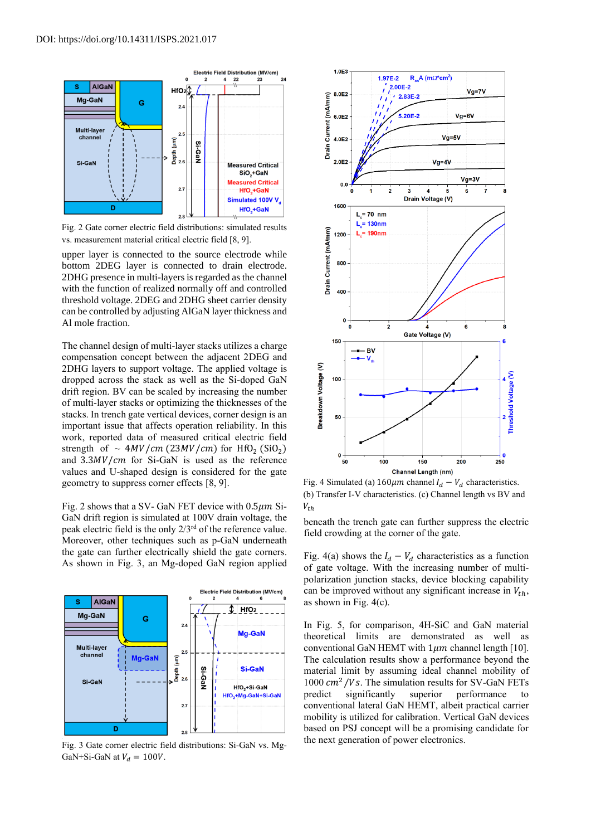

Fig. 2 Gate corner electric field distributions: simulated results vs. measurement material critical electric field [8, 9].

upper layer is connected to the source electrode while bottom 2DEG layer is connected to drain electrode. 2DHG presence in multi-layers is regarded as the channel with the function of realized normally off and controlled threshold voltage. 2DEG and 2DHG sheet carrier density can be controlled by adjusting AlGaN layer thickness and Al mole fraction.

The channel design of multi-layer stacks utilizes a charge compensation concept between the adjacent 2DEG and 2DHG layers to support voltage. The applied voltage is dropped across the stack as well as the Si-doped GaN drift region. BV can be scaled by increasing the number of multi-layer stacks or optimizing the thicknesses of the stacks. In trench gate vertical devices, corner design is an important issue that affects operation reliability. In this work, reported data of measured critical electric field strength of  $\sim 4MV/cm (23MV/cm)$  for HfO<sub>2</sub> (SiO<sub>2</sub>) and  $3.3MV/cm$  for Si-GaN is used as the reference values and U-shaped design is considered for the gate geometry to suppress corner effects [8, 9].

Fig. 2 shows that a SV- GaN FET device with  $0.5 \mu m$  Si-GaN drift region is simulated at 100V drain voltage, the peak electric field is the only 2/3rd of the reference value. Moreover, other techniques such as p-GaN underneath the gate can further electrically shield the gate corners. As shown in Fig. 3, an Mg-doped GaN region applied



Fig. 3 Gate corner electric field distributions: Si-GaN vs. Mg-GaN+Si-GaN at  $V_d = 100V$ .



Fig. 4 Simulated (a)  $160 \mu m$  channel  $I_d - V_d$  characteristics. (b) Transfer I-V characteristics. (c) Channel length vs BV and  $V_{th}$ 

beneath the trench gate can further suppress the electric field crowding at the corner of the gate.

Fig. 4(a) shows the  $I_d - V_d$  characteristics as a function of gate voltage. With the increasing number of multipolarization junction stacks, device blocking capability can be improved without any significant increase in  $V_{th}$ , as shown in Fig. 4(c).

In Fig. 5, for comparison, 4H-SiC and GaN material theoretical limits are demonstrated as well as conventional GaN HEMT with  $1\mu m$  channel length [10]. The calculation results show a performance beyond the material limit by assuming ideal channel mobility of  $1000 \, \text{cm}^2/\text{Vs}$ . The simulation results for SV-GaN FETs predict significantly superior performance to conventional lateral GaN HEMT, albeit practical carrier mobility is utilized for calibration. Vertical GaN devices based on PSJ concept will be a promising candidate for the next generation of power electronics.